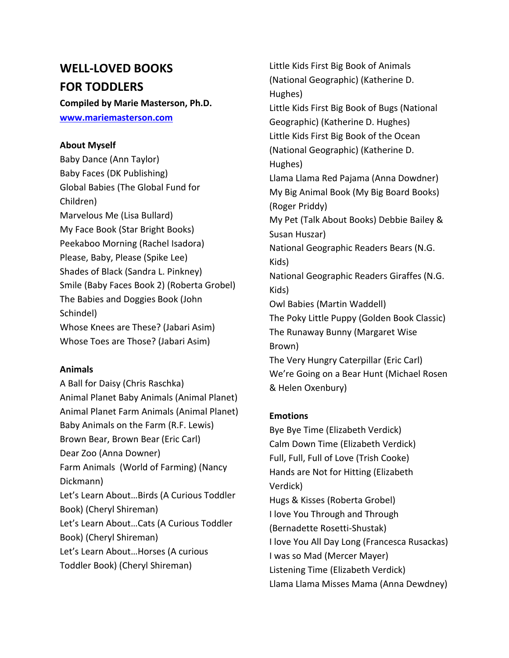# **WELL-LOVED BOOKS FOR TODDLERS**

**Compiled by Marie Masterson, Ph.D. [www.mariemasterson.com](http://www.mariemasterson.com/)**

## **About Myself**

Baby Dance (Ann Taylor) Baby Faces (DK Publishing) Global Babies (The Global Fund for Children) Marvelous Me (Lisa Bullard) My Face Book (Star Bright Books) Peekaboo Morning (Rachel Isadora) Please, Baby, Please (Spike Lee) Shades of Black (Sandra L. Pinkney) Smile (Baby Faces Book 2) (Roberta Grobel) The Babies and Doggies Book (John Schindel) Whose Knees are These? (Jabari Asim) Whose Toes are Those? (Jabari Asim)

## **Animals**

A Ball for Daisy (Chris Raschka) Animal Planet Baby Animals (Animal Planet) Animal Planet Farm Animals (Animal Planet) Baby Animals on the Farm (R.F. Lewis) Brown Bear, Brown Bear (Eric Carl) Dear Zoo (Anna Downer) Farm Animals (World of Farming) (Nancy Dickmann) Let's Learn About…Birds (A Curious Toddler Book) (Cheryl Shireman) Let's Learn About…Cats (A Curious Toddler Book) (Cheryl Shireman) Let's Learn About…Horses (A curious Toddler Book) (Cheryl Shireman)

Little Kids First Big Book of Animals (National Geographic) (Katherine D. Hughes) Little Kids First Big Book of Bugs (National Geographic) (Katherine D. Hughes) Little Kids First Big Book of the Ocean (National Geographic) (Katherine D. Hughes) Llama Llama Red Pajama (Anna Dowdner) My Big Animal Book (My Big Board Books) (Roger Priddy) My Pet (Talk About Books) Debbie Bailey & Susan Huszar) National Geographic Readers Bears (N.G. Kids) National Geographic Readers Giraffes (N.G. Kids) Owl Babies (Martin Waddell) The Poky Little Puppy (Golden Book Classic) The Runaway Bunny (Margaret Wise Brown) The Very Hungry Caterpillar (Eric Carl) We're Going on a Bear Hunt (Michael Rosen & Helen Oxenbury)

## **Emotions**

Bye Bye Time (Elizabeth Verdick) Calm Down Time (Elizabeth Verdick) Full, Full, Full of Love (Trish Cooke) Hands are Not for Hitting (Elizabeth Verdick) Hugs & Kisses (Roberta Grobel) I love You Through and Through (Bernadette Rosetti-Shustak) I love You All Day Long (Francesca Rusackas) I was so Mad (Mercer Mayer) Listening Time (Elizabeth Verdick) Llama Llama Misses Mama (Anna Dewdney)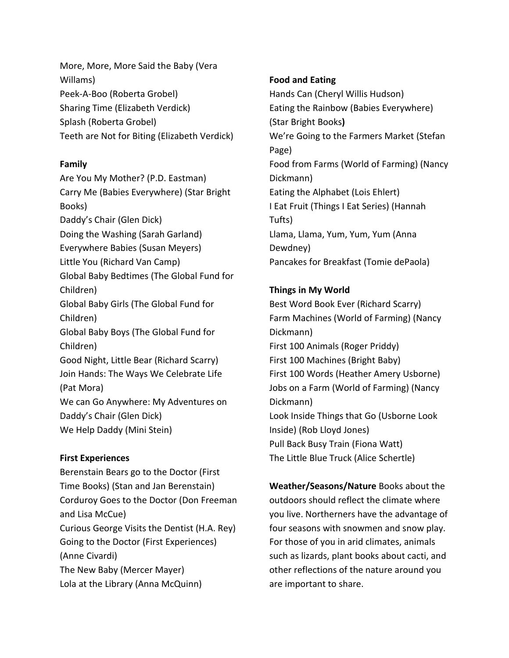More, More, More Said the Baby (Vera Willams) Peek-A-Boo (Roberta Grobel) Sharing Time (Elizabeth Verdick) Splash (Roberta Grobel) Teeth are Not for Biting (Elizabeth Verdick)

## **Family**

Are You My Mother? (P.D. Eastman) Carry Me (Babies Everywhere) (Star Bright Books) Daddy's Chair (Glen Dick) Doing the Washing (Sarah Garland) Everywhere Babies (Susan Meyers) Little You (Richard Van Camp) Global Baby Bedtimes (The Global Fund for Children) Global Baby Girls (The Global Fund for Children) Global Baby Boys (The Global Fund for Children) Good Night, Little Bear (Richard Scarry) Join Hands: The Ways We Celebrate Life (Pat Mora) We can Go Anywhere: My Adventures on Daddy's Chair (Glen Dick) We Help Daddy (Mini Stein)

## **First Experiences**

Berenstain Bears go to the Doctor (First Time Books) (Stan and Jan Berenstain) Corduroy Goes to the Doctor (Don Freeman and Lisa McCue) Curious George Visits the Dentist (H.A. Rey) Going to the Doctor (First Experiences) (Anne Civardi) The New Baby (Mercer Mayer) Lola at the Library (Anna McQuinn)

# **Food and Eating**

Hands Can (Cheryl Willis Hudson) Eating the Rainbow (Babies Everywhere) (Star Bright Books**)** We're Going to the Farmers Market (Stefan Page) Food from Farms (World of Farming) (Nancy Dickmann) Eating the Alphabet (Lois Ehlert) I Eat Fruit (Things I Eat Series) (Hannah Tufts) Llama, Llama, Yum, Yum, Yum (Anna Dewdney) Pancakes for Breakfast (Tomie dePaola)

# **Things in My World**

Best Word Book Ever (Richard Scarry) Farm Machines (World of Farming) (Nancy Dickmann) First 100 Animals (Roger Priddy) First 100 Machines (Bright Baby) First 100 Words (Heather Amery Usborne) Jobs on a Farm (World of Farming) (Nancy Dickmann) Look Inside Things that Go (Usborne Look Inside) (Rob Lloyd Jones) Pull Back Busy Train (Fiona Watt) The Little Blue Truck (Alice Schertle)

**Weather/Seasons/Nature** Books about the outdoors should reflect the climate where you live. Northerners have the advantage of four seasons with snowmen and snow play. For those of you in arid climates, animals such as lizards, plant books about cacti, and other reflections of the nature around you are important to share.